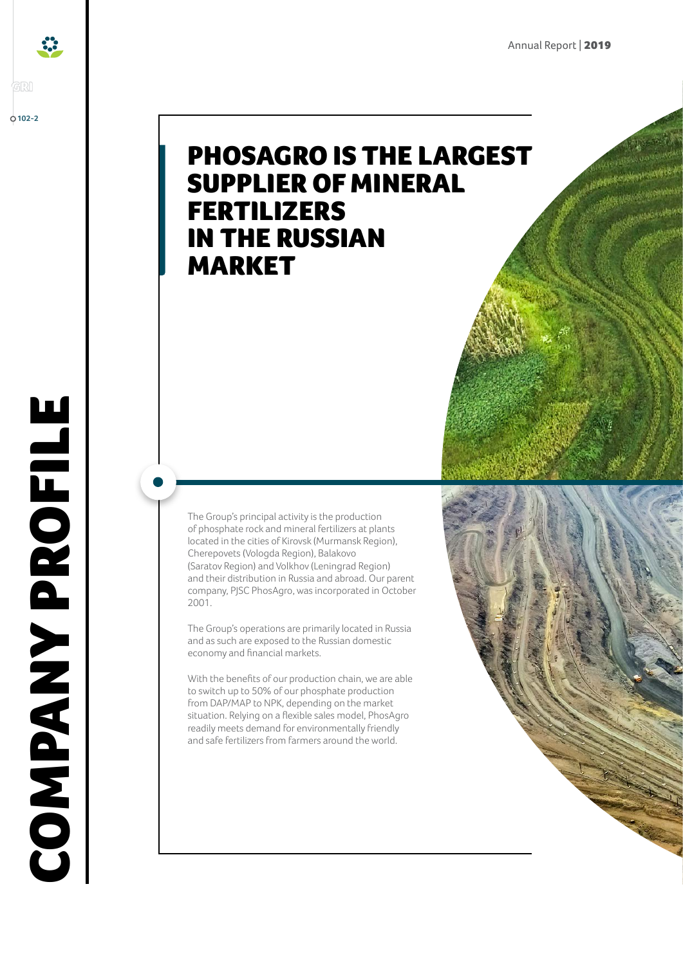

# PHOSAGRO IS THE LARGEST SUPPLIER OF MINERAL FERTILIZERS IN THE RUSSIAN MARKET

The Group's principal activity is the production of phosphate rock and mineral fertilizers at plants located in the cities of Kirovsk (Murmansk Region), Cherepovets (Vologda Region), Balakovo (Saratov Region) and Volkhov (Leningrad Region) and their distribution in Russia and abroad. Our parent company, PJSC PhosAgro, was incorporated in October 2001.

The Group's operations are primarily located in Russia and as such are exposed to the Russian domestic economy and financial markets.

With the benefits of our production chain, we are able to switch up to 50% of our phosphate production from DAP/MAP to NPK, depending on the market situation. Relying on a flexible sales model, PhosAgro readily meets demand for environmentally friendly and safe fertilizers from farmers around the world.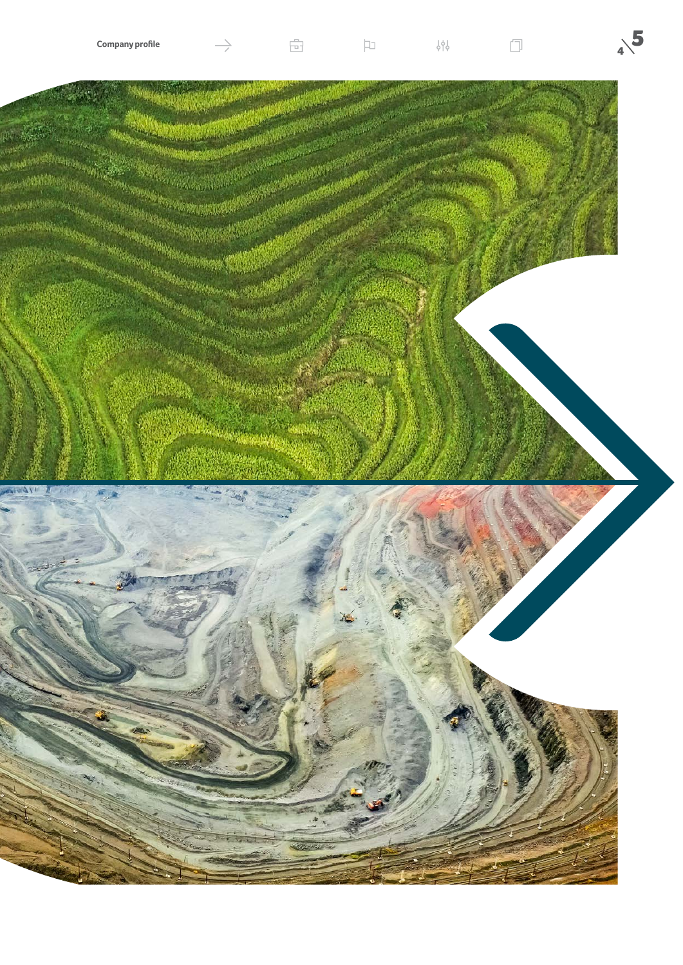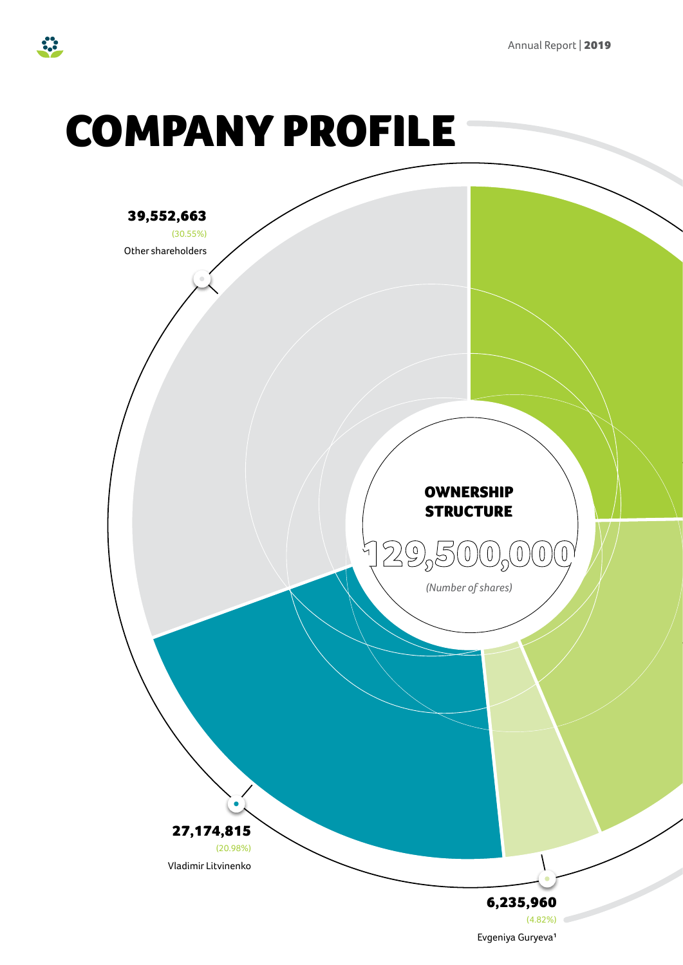# COMPANY PROFILE

 $\ddot{\phantom{a}}$